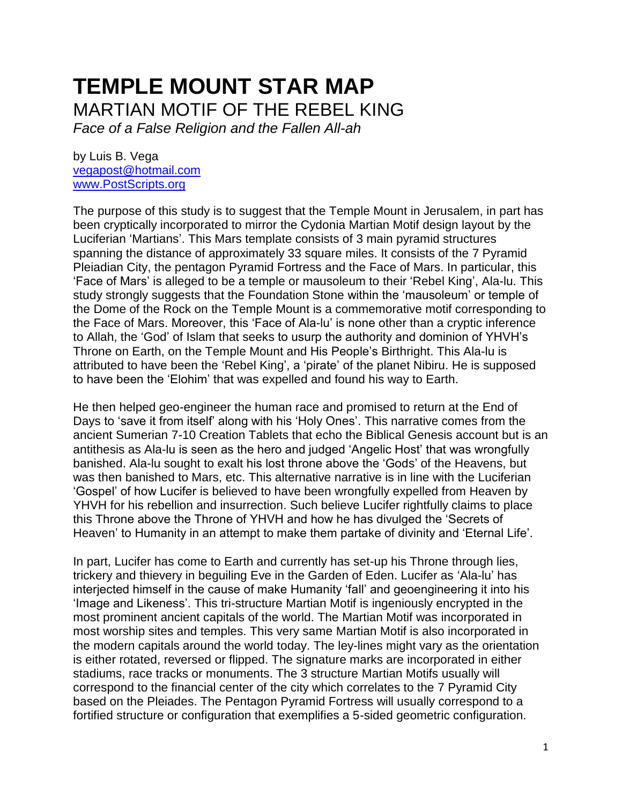# **TEMPLE MOUNT STAR MAP** MARTIAN MOTIF OF THE REBEL KING

*Face of a False Religion and the Fallen All-ah*

by Luis B. Vega [vegapost@hotmail.com](mailto:vegapost@hotmail.com) [www.PostScripts.org](http://www.postscripts.org/)

The purpose of this study is to suggest that the Temple Mount in Jerusalem, in part has been cryptically incorporated to mirror the Cydonia Martian Motif design layout by the Luciferian 'Martians'. This Mars template consists of 3 main pyramid structures spanning the distance of approximately 33 square miles. It consists of the 7 Pyramid Pleiadian City, the pentagon Pyramid Fortress and the Face of Mars. In particular, this 'Face of Mars' is alleged to be a temple or mausoleum to their 'Rebel King', Ala-lu. This study strongly suggests that the Foundation Stone within the 'mausoleum' or temple of the Dome of the Rock on the Temple Mount is a commemorative motif corresponding to the Face of Mars. Moreover, this 'Face of Ala-lu' is none other than a cryptic inference to Allah, the 'God' of Islam that seeks to usurp the authority and dominion of YHVH's Throne on Earth, on the Temple Mount and His People's Birthright. This Ala-lu is attributed to have been the 'Rebel King', a 'pirate' of the planet Nibiru. He is supposed to have been the 'Elohim' that was expelled and found his way to Earth.

He then helped geo-engineer the human race and promised to return at the End of Days to 'save it from itself' along with his 'Holy Ones'. This narrative comes from the ancient Sumerian 7-10 Creation Tablets that echo the Biblical Genesis account but is an antithesis as Ala-lu is seen as the hero and judged 'Angelic Host' that was wrongfully banished. Ala-lu sought to exalt his lost throne above the 'Gods' of the Heavens, but was then banished to Mars, etc. This alternative narrative is in line with the Luciferian 'Gospel' of how Lucifer is believed to have been wrongfully expelled from Heaven by YHVH for his rebellion and insurrection. Such believe Lucifer rightfully claims to place this Throne above the Throne of YHVH and how he has divulged the 'Secrets of Heaven' to Humanity in an attempt to make them partake of divinity and 'Eternal Life'.

In part, Lucifer has come to Earth and currently has set-up his Throne through lies, trickery and thievery in beguiling Eve in the Garden of Eden. Lucifer as 'Ala-lu' has interjected himself in the cause of make Humanity 'fall' and geoengineering it into his 'Image and Likeness'. This tri-structure Martian Motif is ingeniously encrypted in the most prominent ancient capitals of the world. The Martian Motif was incorporated in most worship sites and temples. This very same Martian Motif is also incorporated in the modern capitals around the world today. The ley-lines might vary as the orientation is either rotated, reversed or flipped. The signature marks are incorporated in either stadiums, race tracks or monuments. The 3 structure Martian Motifs usually will correspond to the financial center of the city which correlates to the 7 Pyramid City based on the Pleiades. The Pentagon Pyramid Fortress will usually correspond to a fortified structure or configuration that exemplifies a 5-sided geometric configuration.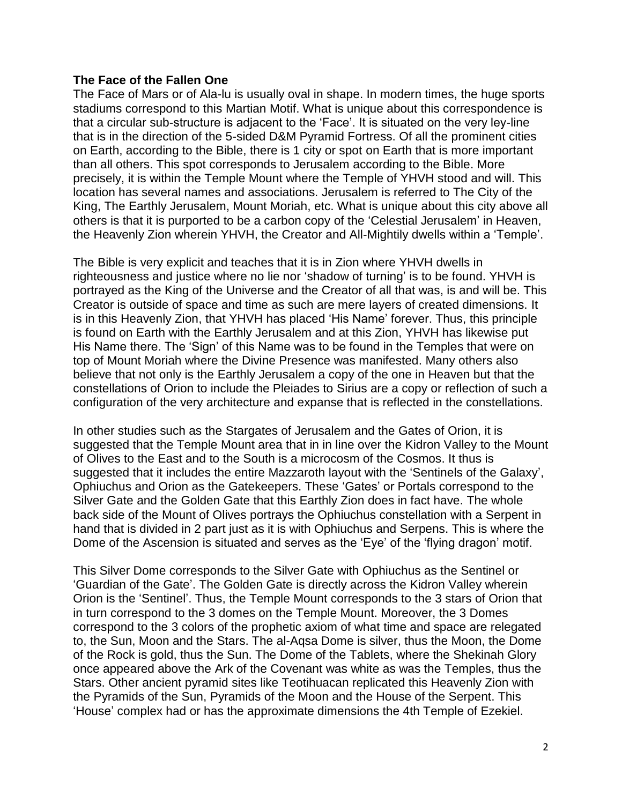# **The Face of the Fallen One**

The Face of Mars or of Ala-lu is usually oval in shape. In modern times, the huge sports stadiums correspond to this Martian Motif. What is unique about this correspondence is that a circular sub-structure is adjacent to the 'Face'. It is situated on the very ley-line that is in the direction of the 5-sided D&M Pyramid Fortress. Of all the prominent cities on Earth, according to the Bible, there is 1 city or spot on Earth that is more important than all others. This spot corresponds to Jerusalem according to the Bible. More precisely, it is within the Temple Mount where the Temple of YHVH stood and will. This location has several names and associations. Jerusalem is referred to The City of the King, The Earthly Jerusalem, Mount Moriah, etc. What is unique about this city above all others is that it is purported to be a carbon copy of the 'Celestial Jerusalem' in Heaven, the Heavenly Zion wherein YHVH, the Creator and All-Mightily dwells within a 'Temple'.

The Bible is very explicit and teaches that it is in Zion where YHVH dwells in righteousness and justice where no lie nor 'shadow of turning' is to be found. YHVH is portrayed as the King of the Universe and the Creator of all that was, is and will be. This Creator is outside of space and time as such are mere layers of created dimensions. It is in this Heavenly Zion, that YHVH has placed 'His Name' forever. Thus, this principle is found on Earth with the Earthly Jerusalem and at this Zion, YHVH has likewise put His Name there. The 'Sign' of this Name was to be found in the Temples that were on top of Mount Moriah where the Divine Presence was manifested. Many others also believe that not only is the Earthly Jerusalem a copy of the one in Heaven but that the constellations of Orion to include the Pleiades to Sirius are a copy or reflection of such a configuration of the very architecture and expanse that is reflected in the constellations.

In other studies such as the Stargates of Jerusalem and the Gates of Orion, it is suggested that the Temple Mount area that in in line over the Kidron Valley to the Mount of Olives to the East and to the South is a microcosm of the Cosmos. It thus is suggested that it includes the entire Mazzaroth layout with the 'Sentinels of the Galaxy', Ophiuchus and Orion as the Gatekeepers. These 'Gates' or Portals correspond to the Silver Gate and the Golden Gate that this Earthly Zion does in fact have. The whole back side of the Mount of Olives portrays the Ophiuchus constellation with a Serpent in hand that is divided in 2 part just as it is with Ophiuchus and Serpens. This is where the Dome of the Ascension is situated and serves as the 'Eye' of the 'flying dragon' motif.

This Silver Dome corresponds to the Silver Gate with Ophiuchus as the Sentinel or 'Guardian of the Gate'. The Golden Gate is directly across the Kidron Valley wherein Orion is the 'Sentinel'. Thus, the Temple Mount corresponds to the 3 stars of Orion that in turn correspond to the 3 domes on the Temple Mount. Moreover, the 3 Domes correspond to the 3 colors of the prophetic axiom of what time and space are relegated to, the Sun, Moon and the Stars. The al-Aqsa Dome is silver, thus the Moon, the Dome of the Rock is gold, thus the Sun. The Dome of the Tablets, where the Shekinah Glory once appeared above the Ark of the Covenant was white as was the Temples, thus the Stars. Other ancient pyramid sites like Teotihuacan replicated this Heavenly Zion with the Pyramids of the Sun, Pyramids of the Moon and the House of the Serpent. This 'House' complex had or has the approximate dimensions the 4th Temple of Ezekiel.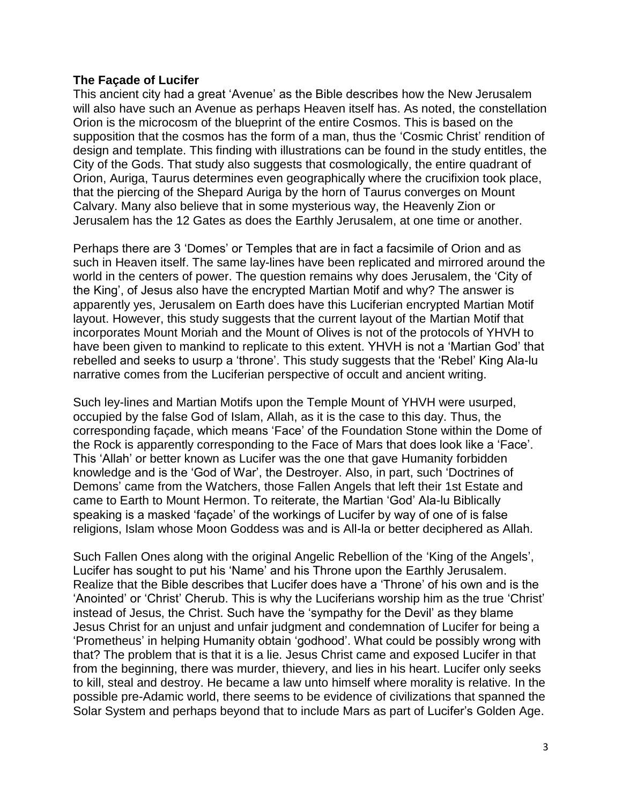# **The Façade of Lucifer**

This ancient city had a great 'Avenue' as the Bible describes how the New Jerusalem will also have such an Avenue as perhaps Heaven itself has. As noted, the constellation Orion is the microcosm of the blueprint of the entire Cosmos. This is based on the supposition that the cosmos has the form of a man, thus the 'Cosmic Christ' rendition of design and template. This finding with illustrations can be found in the study entitles, the City of the Gods. That study also suggests that cosmologically, the entire quadrant of Orion, Auriga, Taurus determines even geographically where the crucifixion took place, that the piercing of the Shepard Auriga by the horn of Taurus converges on Mount Calvary. Many also believe that in some mysterious way, the Heavenly Zion or Jerusalem has the 12 Gates as does the Earthly Jerusalem, at one time or another.

Perhaps there are 3 'Domes' or Temples that are in fact a facsimile of Orion and as such in Heaven itself. The same lay-lines have been replicated and mirrored around the world in the centers of power. The question remains why does Jerusalem, the 'City of the King', of Jesus also have the encrypted Martian Motif and why? The answer is apparently yes, Jerusalem on Earth does have this Luciferian encrypted Martian Motif layout. However, this study suggests that the current layout of the Martian Motif that incorporates Mount Moriah and the Mount of Olives is not of the protocols of YHVH to have been given to mankind to replicate to this extent. YHVH is not a 'Martian God' that rebelled and seeks to usurp a 'throne'. This study suggests that the 'Rebel' King Ala-lu narrative comes from the Luciferian perspective of occult and ancient writing.

Such ley-lines and Martian Motifs upon the Temple Mount of YHVH were usurped, occupied by the false God of Islam, Allah, as it is the case to this day. Thus, the corresponding façade, which means 'Face' of the Foundation Stone within the Dome of the Rock is apparently corresponding to the Face of Mars that does look like a 'Face'. This 'Allah' or better known as Lucifer was the one that gave Humanity forbidden knowledge and is the 'God of War', the Destroyer. Also, in part, such 'Doctrines of Demons' came from the Watchers, those Fallen Angels that left their 1st Estate and came to Earth to Mount Hermon. To reiterate, the Martian 'God' Ala-lu Biblically speaking is a masked 'façade' of the workings of Lucifer by way of one of is false religions, Islam whose Moon Goddess was and is All-la or better deciphered as Allah.

Such Fallen Ones along with the original Angelic Rebellion of the 'King of the Angels', Lucifer has sought to put his 'Name' and his Throne upon the Earthly Jerusalem. Realize that the Bible describes that Lucifer does have a 'Throne' of his own and is the 'Anointed' or 'Christ' Cherub. This is why the Luciferians worship him as the true 'Christ' instead of Jesus, the Christ. Such have the 'sympathy for the Devil' as they blame Jesus Christ for an unjust and unfair judgment and condemnation of Lucifer for being a 'Prometheus' in helping Humanity obtain 'godhood'. What could be possibly wrong with that? The problem that is that it is a lie. Jesus Christ came and exposed Lucifer in that from the beginning, there was murder, thievery, and lies in his heart. Lucifer only seeks to kill, steal and destroy. He became a law unto himself where morality is relative. In the possible pre-Adamic world, there seems to be evidence of civilizations that spanned the Solar System and perhaps beyond that to include Mars as part of Lucifer's Golden Age.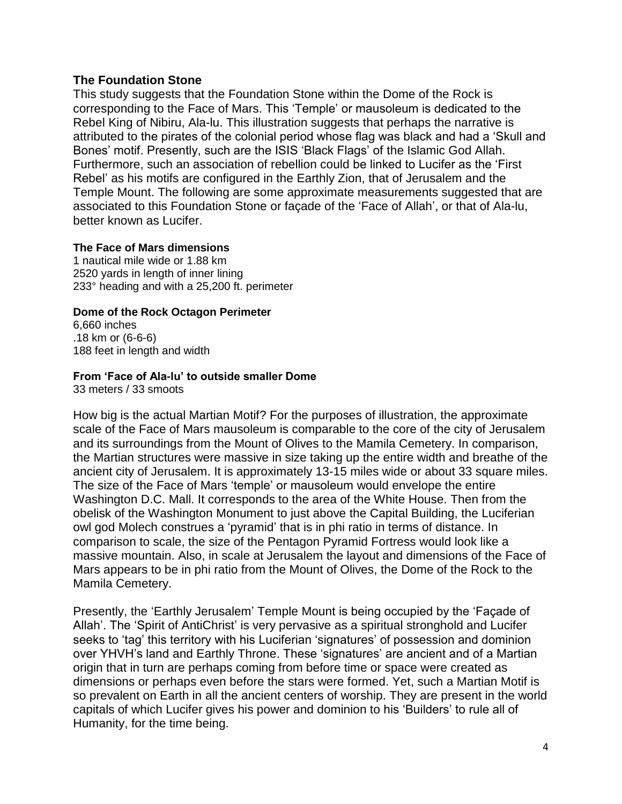# **The Foundation Stone**

This study suggests that the Foundation Stone within the Dome of the Rock is corresponding to the Face of Mars. This 'Temple' or mausoleum is dedicated to the Rebel King of Nibiru, Ala-lu. This illustration suggests that perhaps the narrative is attributed to the pirates of the colonial period whose flag was black and had a 'Skull and Bones' motif. Presently, such are the ISIS 'Black Flags' of the Islamic God Allah. Furthermore, such an association of rebellion could be linked to Lucifer as the 'First Rebel' as his motifs are configured in the Earthly Zion, that of Jerusalem and the Temple Mount. The following are some approximate measurements suggested that are associated to this Foundation Stone or façade of the 'Face of Allah', or that of Ala-lu, better known as Lucifer.

## **The Face of Mars dimensions**

1 nautical mile wide or 1.88 km 2520 yards in length of inner lining 233° heading and with a 25,200 ft. perimeter

# **Dome of the Rock Octagon Perimeter**

6,660 inches .18 km or (6-6-6) 188 feet in length and width

# **From 'Face of Ala-lu' to outside smaller Dome**

33 meters / 33 smoots

How big is the actual Martian Motif? For the purposes of illustration, the approximate scale of the Face of Mars mausoleum is comparable to the core of the city of Jerusalem and its surroundings from the Mount of Olives to the Mamila Cemetery. In comparison, the Martian structures were massive in size taking up the entire width and breathe of the ancient city of Jerusalem. It is approximately 13-15 miles wide or about 33 square miles. The size of the Face of Mars 'temple' or mausoleum would envelope the entire Washington D.C. Mall. It corresponds to the area of the White House. Then from the obelisk of the Washington Monument to just above the Capital Building, the Luciferian owl god Molech construes a 'pyramid' that is in phi ratio in terms of distance. In comparison to scale, the size of the Pentagon Pyramid Fortress would look like a massive mountain. Also, in scale at Jerusalem the layout and dimensions of the Face of Mars appears to be in phi ratio from the Mount of Olives, the Dome of the Rock to the Mamila Cemetery.

Presently, the 'Earthly Jerusalem' Temple Mount is being occupied by the 'Façade of Allah'. The 'Spirit of AntiChrist' is very pervasive as a spiritual stronghold and Lucifer seeks to 'tag' this territory with his Luciferian 'signatures' of possession and dominion over YHVH's land and Earthly Throne. These 'signatures' are ancient and of a Martian origin that in turn are perhaps coming from before time or space were created as dimensions or perhaps even before the stars were formed. Yet, such a Martian Motif is so prevalent on Earth in all the ancient centers of worship. They are present in the world capitals of which Lucifer gives his power and dominion to his 'Builders' to rule all of Humanity, for the time being.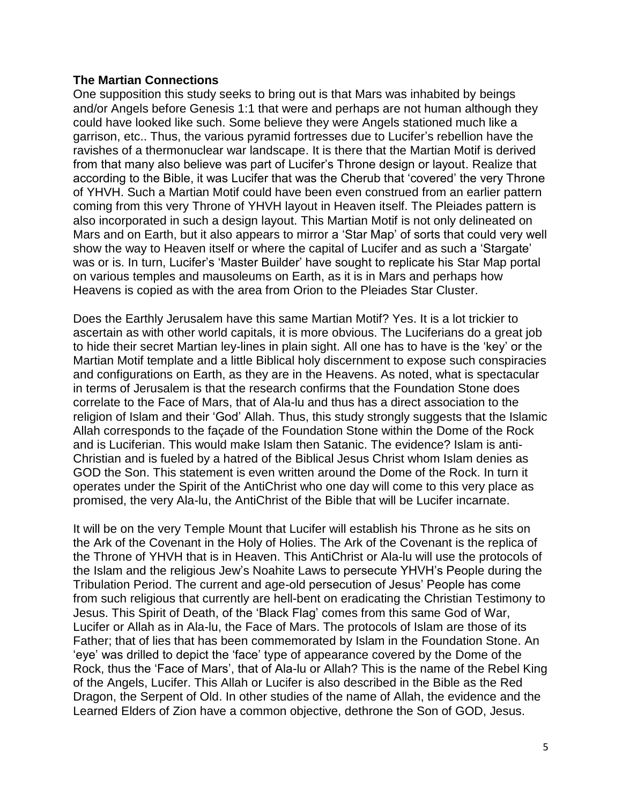## **The Martian Connections**

One supposition this study seeks to bring out is that Mars was inhabited by beings and/or Angels before Genesis 1:1 that were and perhaps are not human although they could have looked like such. Some believe they were Angels stationed much like a garrison, etc.. Thus, the various pyramid fortresses due to Lucifer's rebellion have the ravishes of a thermonuclear war landscape. It is there that the Martian Motif is derived from that many also believe was part of Lucifer's Throne design or layout. Realize that according to the Bible, it was Lucifer that was the Cherub that 'covered' the very Throne of YHVH. Such a Martian Motif could have been even construed from an earlier pattern coming from this very Throne of YHVH layout in Heaven itself. The Pleiades pattern is also incorporated in such a design layout. This Martian Motif is not only delineated on Mars and on Earth, but it also appears to mirror a 'Star Map' of sorts that could very well show the way to Heaven itself or where the capital of Lucifer and as such a 'Stargate' was or is. In turn, Lucifer's 'Master Builder' have sought to replicate his Star Map portal on various temples and mausoleums on Earth, as it is in Mars and perhaps how Heavens is copied as with the area from Orion to the Pleiades Star Cluster.

Does the Earthly Jerusalem have this same Martian Motif? Yes. It is a lot trickier to ascertain as with other world capitals, it is more obvious. The Luciferians do a great job to hide their secret Martian ley-lines in plain sight. All one has to have is the 'key' or the Martian Motif template and a little Biblical holy discernment to expose such conspiracies and configurations on Earth, as they are in the Heavens. As noted, what is spectacular in terms of Jerusalem is that the research confirms that the Foundation Stone does correlate to the Face of Mars, that of Ala-lu and thus has a direct association to the religion of Islam and their 'God' Allah. Thus, this study strongly suggests that the Islamic Allah corresponds to the façade of the Foundation Stone within the Dome of the Rock and is Luciferian. This would make Islam then Satanic. The evidence? Islam is anti-Christian and is fueled by a hatred of the Biblical Jesus Christ whom Islam denies as GOD the Son. This statement is even written around the Dome of the Rock. In turn it operates under the Spirit of the AntiChrist who one day will come to this very place as promised, the very Ala-lu, the AntiChrist of the Bible that will be Lucifer incarnate.

It will be on the very Temple Mount that Lucifer will establish his Throne as he sits on the Ark of the Covenant in the Holy of Holies. The Ark of the Covenant is the replica of the Throne of YHVH that is in Heaven. This AntiChrist or Ala-lu will use the protocols of the Islam and the religious Jew's Noahite Laws to persecute YHVH's People during the Tribulation Period. The current and age-old persecution of Jesus' People has come from such religious that currently are hell-bent on eradicating the Christian Testimony to Jesus. This Spirit of Death, of the 'Black Flag' comes from this same God of War, Lucifer or Allah as in Ala-lu, the Face of Mars. The protocols of Islam are those of its Father; that of lies that has been commemorated by Islam in the Foundation Stone. An 'eye' was drilled to depict the 'face' type of appearance covered by the Dome of the Rock, thus the 'Face of Mars', that of Ala-lu or Allah? This is the name of the Rebel King of the Angels, Lucifer. This Allah or Lucifer is also described in the Bible as the Red Dragon, the Serpent of Old. In other studies of the name of Allah, the evidence and the Learned Elders of Zion have a common objective, dethrone the Son of GOD, Jesus.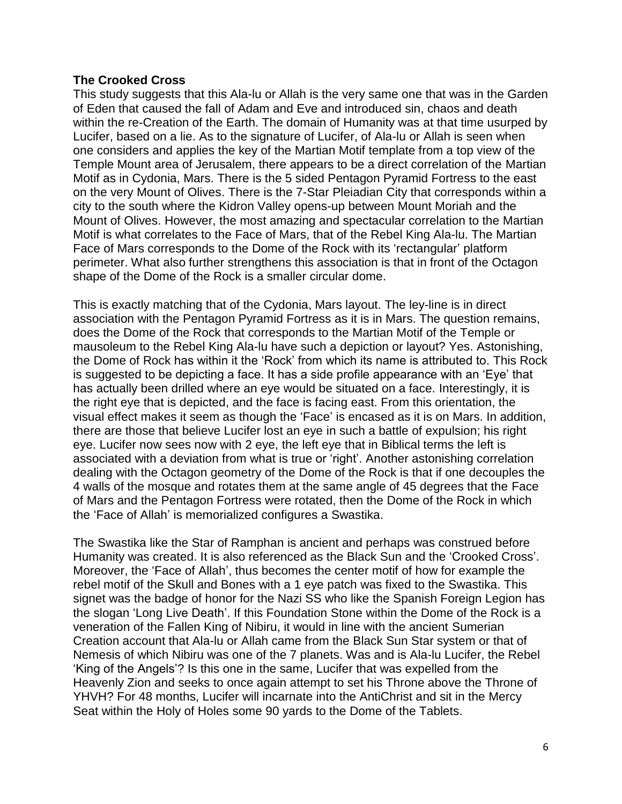# **The Crooked Cross**

This study suggests that this Ala-lu or Allah is the very same one that was in the Garden of Eden that caused the fall of Adam and Eve and introduced sin, chaos and death within the re-Creation of the Earth. The domain of Humanity was at that time usurped by Lucifer, based on a lie. As to the signature of Lucifer, of Ala-lu or Allah is seen when one considers and applies the key of the Martian Motif template from a top view of the Temple Mount area of Jerusalem, there appears to be a direct correlation of the Martian Motif as in Cydonia, Mars. There is the 5 sided Pentagon Pyramid Fortress to the east on the very Mount of Olives. There is the 7-Star Pleiadian City that corresponds within a city to the south where the Kidron Valley opens-up between Mount Moriah and the Mount of Olives. However, the most amazing and spectacular correlation to the Martian Motif is what correlates to the Face of Mars, that of the Rebel King Ala-lu. The Martian Face of Mars corresponds to the Dome of the Rock with its 'rectangular' platform perimeter. What also further strengthens this association is that in front of the Octagon shape of the Dome of the Rock is a smaller circular dome.

This is exactly matching that of the Cydonia, Mars layout. The ley-line is in direct association with the Pentagon Pyramid Fortress as it is in Mars. The question remains, does the Dome of the Rock that corresponds to the Martian Motif of the Temple or mausoleum to the Rebel King Ala-lu have such a depiction or layout? Yes. Astonishing, the Dome of Rock has within it the 'Rock' from which its name is attributed to. This Rock is suggested to be depicting a face. It has a side profile appearance with an 'Eye' that has actually been drilled where an eye would be situated on a face. Interestingly, it is the right eye that is depicted, and the face is facing east. From this orientation, the visual effect makes it seem as though the 'Face' is encased as it is on Mars. In addition, there are those that believe Lucifer lost an eye in such a battle of expulsion; his right eye. Lucifer now sees now with 2 eye, the left eye that in Biblical terms the left is associated with a deviation from what is true or 'right'. Another astonishing correlation dealing with the Octagon geometry of the Dome of the Rock is that if one decouples the 4 walls of the mosque and rotates them at the same angle of 45 degrees that the Face of Mars and the Pentagon Fortress were rotated, then the Dome of the Rock in which the 'Face of Allah' is memorialized configures a Swastika.

The Swastika like the Star of Ramphan is ancient and perhaps was construed before Humanity was created. It is also referenced as the Black Sun and the 'Crooked Cross'. Moreover, the 'Face of Allah', thus becomes the center motif of how for example the rebel motif of the Skull and Bones with a 1 eye patch was fixed to the Swastika. This signet was the badge of honor for the Nazi SS who like the Spanish Foreign Legion has the slogan 'Long Live Death'. If this Foundation Stone within the Dome of the Rock is a veneration of the Fallen King of Nibiru, it would in line with the ancient Sumerian Creation account that Ala-lu or Allah came from the Black Sun Star system or that of Nemesis of which Nibiru was one of the 7 planets. Was and is Ala-lu Lucifer, the Rebel 'King of the Angels'? Is this one in the same, Lucifer that was expelled from the Heavenly Zion and seeks to once again attempt to set his Throne above the Throne of YHVH? For 48 months, Lucifer will incarnate into the AntiChrist and sit in the Mercy Seat within the Holy of Holes some 90 yards to the Dome of the Tablets.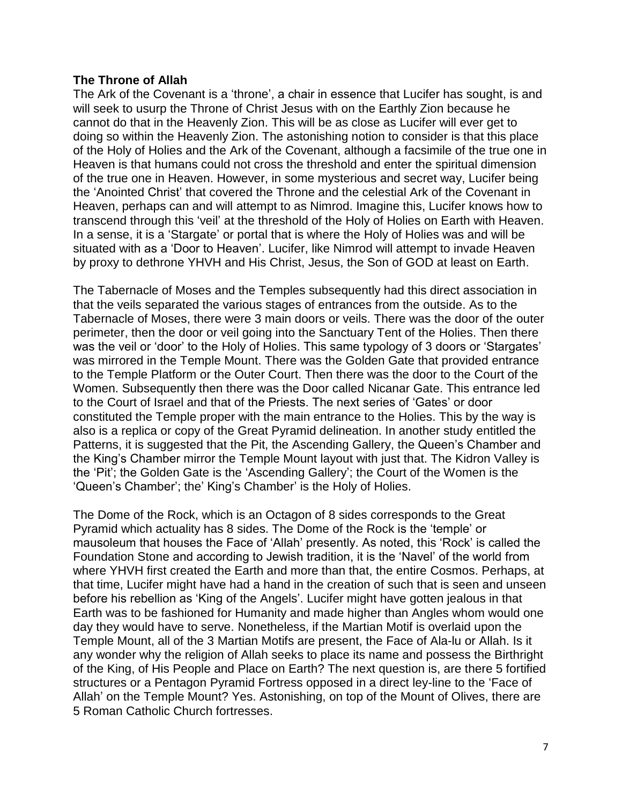# **The Throne of Allah**

The Ark of the Covenant is a 'throne', a chair in essence that Lucifer has sought, is and will seek to usurp the Throne of Christ Jesus with on the Earthly Zion because he cannot do that in the Heavenly Zion. This will be as close as Lucifer will ever get to doing so within the Heavenly Zion. The astonishing notion to consider is that this place of the Holy of Holies and the Ark of the Covenant, although a facsimile of the true one in Heaven is that humans could not cross the threshold and enter the spiritual dimension of the true one in Heaven. However, in some mysterious and secret way, Lucifer being the 'Anointed Christ' that covered the Throne and the celestial Ark of the Covenant in Heaven, perhaps can and will attempt to as Nimrod. Imagine this, Lucifer knows how to transcend through this 'veil' at the threshold of the Holy of Holies on Earth with Heaven. In a sense, it is a 'Stargate' or portal that is where the Holy of Holies was and will be situated with as a 'Door to Heaven'. Lucifer, like Nimrod will attempt to invade Heaven by proxy to dethrone YHVH and His Christ, Jesus, the Son of GOD at least on Earth.

The Tabernacle of Moses and the Temples subsequently had this direct association in that the veils separated the various stages of entrances from the outside. As to the Tabernacle of Moses, there were 3 main doors or veils. There was the door of the outer perimeter, then the door or veil going into the Sanctuary Tent of the Holies. Then there was the veil or 'door' to the Holy of Holies. This same typology of 3 doors or 'Stargates' was mirrored in the Temple Mount. There was the Golden Gate that provided entrance to the Temple Platform or the Outer Court. Then there was the door to the Court of the Women. Subsequently then there was the Door called Nicanar Gate. This entrance led to the Court of Israel and that of the Priests. The next series of 'Gates' or door constituted the Temple proper with the main entrance to the Holies. This by the way is also is a replica or copy of the Great Pyramid delineation. In another study entitled the Patterns, it is suggested that the Pit, the Ascending Gallery, the Queen's Chamber and the King's Chamber mirror the Temple Mount layout with just that. The Kidron Valley is the 'Pit'; the Golden Gate is the 'Ascending Gallery'; the Court of the Women is the 'Queen's Chamber'; the' King's Chamber' is the Holy of Holies.

The Dome of the Rock, which is an Octagon of 8 sides corresponds to the Great Pyramid which actuality has 8 sides. The Dome of the Rock is the 'temple' or mausoleum that houses the Face of 'Allah' presently. As noted, this 'Rock' is called the Foundation Stone and according to Jewish tradition, it is the 'Navel' of the world from where YHVH first created the Earth and more than that, the entire Cosmos. Perhaps, at that time, Lucifer might have had a hand in the creation of such that is seen and unseen before his rebellion as 'King of the Angels'. Lucifer might have gotten jealous in that Earth was to be fashioned for Humanity and made higher than Angles whom would one day they would have to serve. Nonetheless, if the Martian Motif is overlaid upon the Temple Mount, all of the 3 Martian Motifs are present, the Face of Ala-lu or Allah. Is it any wonder why the religion of Allah seeks to place its name and possess the Birthright of the King, of His People and Place on Earth? The next question is, are there 5 fortified structures or a Pentagon Pyramid Fortress opposed in a direct ley-line to the 'Face of Allah' on the Temple Mount? Yes. Astonishing, on top of the Mount of Olives, there are 5 Roman Catholic Church fortresses.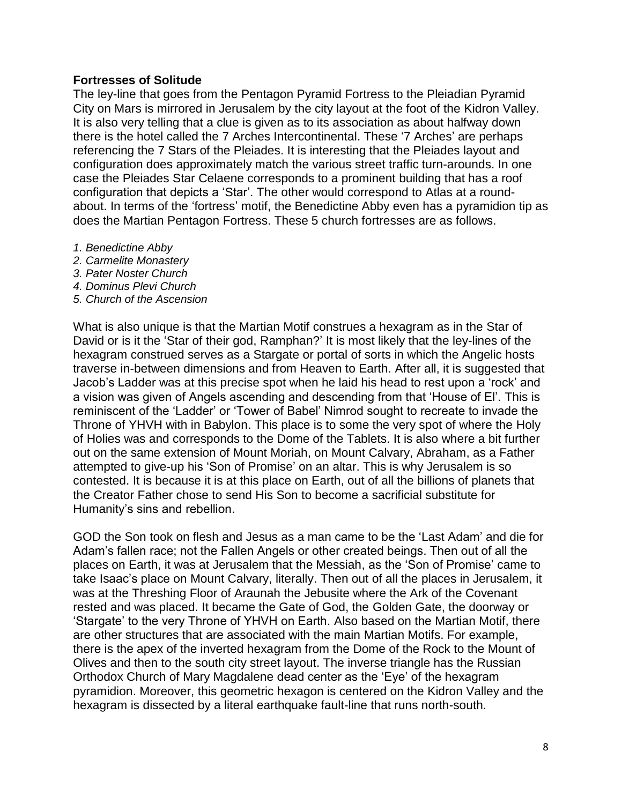# **Fortresses of Solitude**

The ley-line that goes from the Pentagon Pyramid Fortress to the Pleiadian Pyramid City on Mars is mirrored in Jerusalem by the city layout at the foot of the Kidron Valley. It is also very telling that a clue is given as to its association as about halfway down there is the hotel called the 7 Arches Intercontinental. These '7 Arches' are perhaps referencing the 7 Stars of the Pleiades. It is interesting that the Pleiades layout and configuration does approximately match the various street traffic turn-arounds. In one case the Pleiades Star Celaene corresponds to a prominent building that has a roof configuration that depicts a 'Star'. The other would correspond to Atlas at a roundabout. In terms of the 'fortress' motif, the Benedictine Abby even has a pyramidion tip as does the Martian Pentagon Fortress. These 5 church fortresses are as follows.

- *1. Benedictine Abby*
- *2. Carmelite Monastery*
- *3. Pater Noster Church*
- *4. Dominus Plevi Church*
- *5. Church of the Ascension*

What is also unique is that the Martian Motif construes a hexagram as in the Star of David or is it the 'Star of their god, Ramphan?' It is most likely that the ley-lines of the hexagram construed serves as a Stargate or portal of sorts in which the Angelic hosts traverse in-between dimensions and from Heaven to Earth. After all, it is suggested that Jacob's Ladder was at this precise spot when he laid his head to rest upon a 'rock' and a vision was given of Angels ascending and descending from that 'House of El'. This is reminiscent of the 'Ladder' or 'Tower of Babel' Nimrod sought to recreate to invade the Throne of YHVH with in Babylon. This place is to some the very spot of where the Holy of Holies was and corresponds to the Dome of the Tablets. It is also where a bit further out on the same extension of Mount Moriah, on Mount Calvary, Abraham, as a Father attempted to give-up his 'Son of Promise' on an altar. This is why Jerusalem is so contested. It is because it is at this place on Earth, out of all the billions of planets that the Creator Father chose to send His Son to become a sacrificial substitute for Humanity's sins and rebellion.

GOD the Son took on flesh and Jesus as a man came to be the 'Last Adam' and die for Adam's fallen race; not the Fallen Angels or other created beings. Then out of all the places on Earth, it was at Jerusalem that the Messiah, as the 'Son of Promise' came to take Isaac's place on Mount Calvary, literally. Then out of all the places in Jerusalem, it was at the Threshing Floor of Araunah the Jebusite where the Ark of the Covenant rested and was placed. It became the Gate of God, the Golden Gate, the doorway or 'Stargate' to the very Throne of YHVH on Earth. Also based on the Martian Motif, there are other structures that are associated with the main Martian Motifs. For example, there is the apex of the inverted hexagram from the Dome of the Rock to the Mount of Olives and then to the south city street layout. The inverse triangle has the Russian Orthodox Church of Mary Magdalene dead center as the 'Eye' of the hexagram pyramidion. Moreover, this geometric hexagon is centered on the Kidron Valley and the hexagram is dissected by a literal earthquake fault-line that runs north-south.